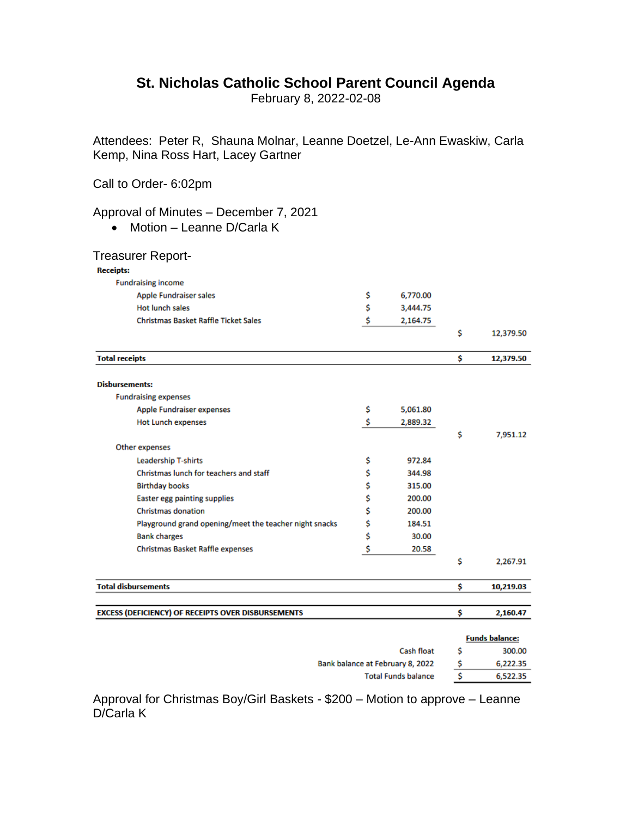## **St. Nicholas Catholic School Parent Council Agenda**

February 8, 2022-02-08

Attendees: Peter R, Shauna Molnar, Leanne Doetzel, Le-Ann Ewaskiw, Carla Kemp, Nina Ross Hart, Lacey Gartner

Call to Order- 6:02pm

## Approval of Minutes – December 7, 2021

• Motion – Leanne D/Carla K

| <b>Treasurer Report-</b>                                  |                |                 |
|-----------------------------------------------------------|----------------|-----------------|
| <b>Receipts:</b>                                          |                |                 |
| <b>Fundraising income</b>                                 |                |                 |
| <b>Apple Fundraiser sales</b>                             | \$<br>6,770.00 |                 |
| <b>Hot lunch sales</b>                                    | \$<br>3,444.75 |                 |
| <b>Christmas Basket Raffle Ticket Sales</b>               | \$<br>2,164.75 |                 |
|                                                           |                | \$<br>12,379.50 |
| <b>Total receipts</b>                                     |                | \$<br>12,379.50 |
| <b>Disbursements:</b>                                     |                |                 |
| <b>Fundraising expenses</b>                               |                |                 |
| <b>Apple Fundraiser expenses</b>                          | \$<br>5,061.80 |                 |
| <b>Hot Lunch expenses</b>                                 | \$<br>2,889.32 |                 |
|                                                           |                | \$<br>7,951.12  |
| Other expenses                                            |                |                 |
| <b>Leadership T-shirts</b>                                | \$<br>972.84   |                 |
| Christmas lunch for teachers and staff                    | \$<br>344.98   |                 |
| <b>Birthday books</b>                                     | \$<br>315.00   |                 |
| <b>Easter egg painting supplies</b>                       | \$<br>200.00   |                 |
| <b>Christmas donation</b>                                 | \$<br>200.00   |                 |
| Playground grand opening/meet the teacher night snacks    | \$<br>184.51   |                 |
| <b>Bank charges</b>                                       | \$<br>30.00    |                 |
| <b>Christmas Basket Raffle expenses</b>                   | \$<br>20.58    |                 |
|                                                           |                | \$<br>2,267.91  |
| <b>Total disbursements</b>                                |                | \$<br>10,219.03 |
| <b>EXCESS (DEFICIENCY) OF RECEIPTS OVER DISBURSEMENTS</b> |                | \$<br>2,160.47  |

|                                  | <b>Funds balance:</b> |          |  |
|----------------------------------|-----------------------|----------|--|
| <b>Cash float</b>                | s                     | 300.00   |  |
| Bank balance at February 8, 2022 | S                     | 6,222.35 |  |
| <b>Total Funds balance</b>       | s                     | 6,522.35 |  |

Approval for Christmas Boy/Girl Baskets - \$200 – Motion to approve – Leanne D/Carla K